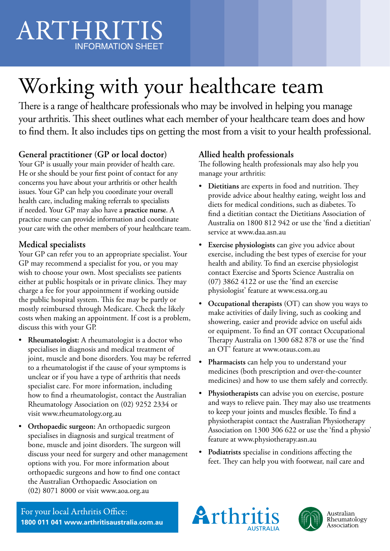# ARTHRITIS INFORMATION SHEET

# Working with your healthcare team ARTHRITIS

There is a range of healthcare professionals who may be involved in helping you manage your arthritis. This sheet outlines what each member of your healthcare team does and how your arunnus. This sheet outlines what each includer or your healthcare team does and now<br>to find them. It also includes tips on getting the most from a visit to your health professional.

# **General practitioner (GP or local doctor)**

Your GP is usually your main provider of health care. He or she should be your first point of contact for any concerns you have about your arthritis or other health issues. Your GP can help you coordinate your overall health care, including making referrals to specialists if needed. Your GP may also have a **practice nurse**. A practice nurse can provide information and coordinate your care with the other members of your healthcare team.

# **Medical specialists**

Your GP can refer you to an appropriate specialist. Your GP may recommend a specialist for you, or you may wish to choose your own. Most specialists see patients either at public hospitals or in private clinics. They may charge a fee for your appointment if working outside the public hospital system. This fee may be partly or mostly reimbursed through Medicare. Check the likely costs when making an appointment. If cost is a problem, discuss this with your GP.

- **Rheumatologist:** A rheumatologist is a doctor who specialises in diagnosis and medical treatment of joint, muscle and bone disorders. You may be referred to a rheumatologist if the cause of your symptoms is unclear or if you have a type of arthritis that needs specialist care. For more information, including how to find a rheumatologist, contact the Australian Rheumatology Association on (02) 9252 2334 or visit www.rheumatology.org.au
- **Orthopaedic surgeon:** An orthopaedic surgeon specialises in diagnosis and surgical treatment of bone, muscle and joint disorders. The surgeon will discuss your need for surgery and other management options with you. For more information about orthopaedic surgeons and how to find one contact the Australian Orthopaedic Association on (02) 8071 8000 or visit www.aoa.org.au

# **Allied health professionals**

The following health professionals may also help you manage your arthritis:

- **Dietitians** are experts in food and nutrition. They provide advice about healthy eating, weight loss and diets for medical conditions, such as diabetes. To find a dietitian contact the Dietitians Association of Australia on 1800 812 942 or use the 'find a dietitian' service at www.daa.asn.au
- **Exercise physiologists** can give you advice about exercise, including the best types of exercise for your health and ability. To find an exercise physiologist contact Exercise and Sports Science Australia on (07) 3862 4122 or use the 'find an exercise physiologist' feature at www.essa.org.au
- **Occupational therapists** (OT) can show you ways to make activities of daily living, such as cooking and showering, easier and provide advice on useful aids or equipment. To find an OT contact Occupational Therapy Australia on 1300 682 878 or use the 'find an OT' feature at www.otaus.com.au
- **Pharmacists** can help you to understand your medicines (both prescription and over-the-counter medicines) and how to use them safely and correctly.
- **Physiotherapists** can advise you on exercise, posture and ways to relieve pain. They may also use treatments to keep your joints and muscles flexible. To find a physiotherapist contact the Australian Physiotherapy Association on 1300 306 622 or use the 'find a physio' feature at www.physiotherapy.asn.au
- **Podiatrists** specialise in conditions affecting the feet. They can help you with footwear, nail care and